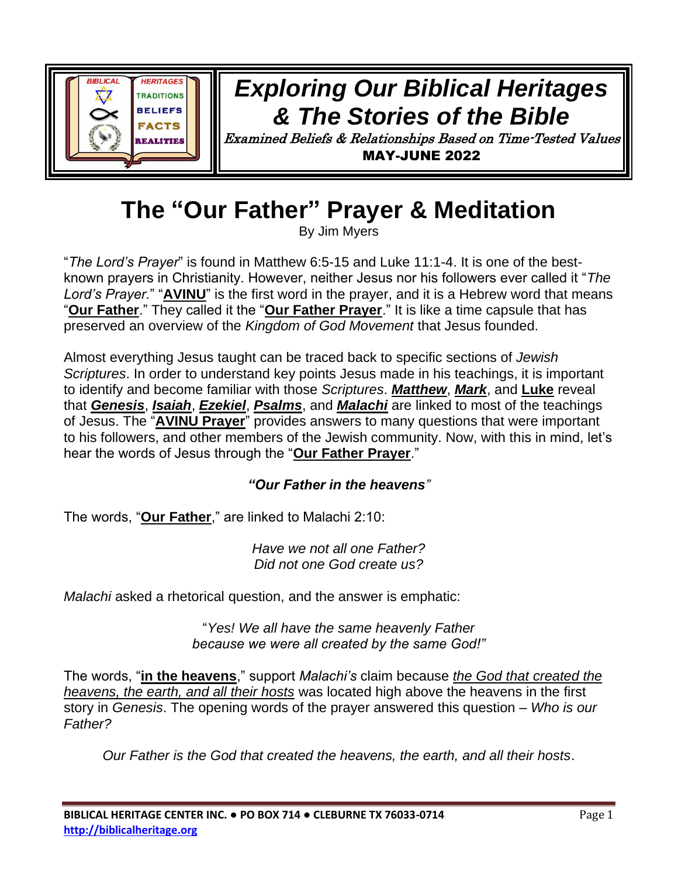

## *Exploring Our Biblical Heritages & The Stories of the Bible*

Examined Beliefs & Relationships Based on Time-Tested Values MAY-JUNE 2022

# **The "Our Father" Prayer & Meditation**

By Jim Myers

"*The Lord's Prayer*" is found in Matthew 6:5-15 and Luke 11:1-4. It is one of the bestknown prayers in Christianity. However, neither Jesus nor his followers ever called it "*The Lord's Prayer.*" "**AVINU**" is the first word in the prayer, and it is a Hebrew word that means "**Our Father**." They called it the "**Our Father Prayer**." It is like a time capsule that has preserved an overview of the *Kingdom of God Movement* that Jesus founded.

Almost everything Jesus taught can be traced back to specific sections of *Jewish Scriptures*. In order to understand key points Jesus made in his teachings, it is important to identify and become familiar with those *Scriptures*. *Matthew*, *Mark*, and **Luke** reveal that *Genesis*, *Isaiah*, *Ezekiel*, *Psalms*, and *Malachi* are linked to most of the teachings of Jesus. The "**AVINU Prayer**" provides answers to many questions that were important to his followers, and other members of the Jewish community. Now, with this in mind, let's hear the words of Jesus through the "**Our Father Prayer**."

#### *"Our Father in the heavens"*

The words, "**Our Father**," are linked to Malachi 2:10:

*Have we not all one Father? Did not one God create us?*

*Malachi* asked a rhetorical question, and the answer is emphatic:

"*Yes! We all have the same heavenly Father because we were all created by the same God!"*

The words, "**in the heavens**," support *Malachi's* claim because *the God that created the heavens, the earth, and all their hosts* was located high above the heavens in the first story in *Genesis*. The opening words of the prayer answered this question – *Who is our Father?*

*Our Father is the God that created the heavens, the earth, and all their hosts*.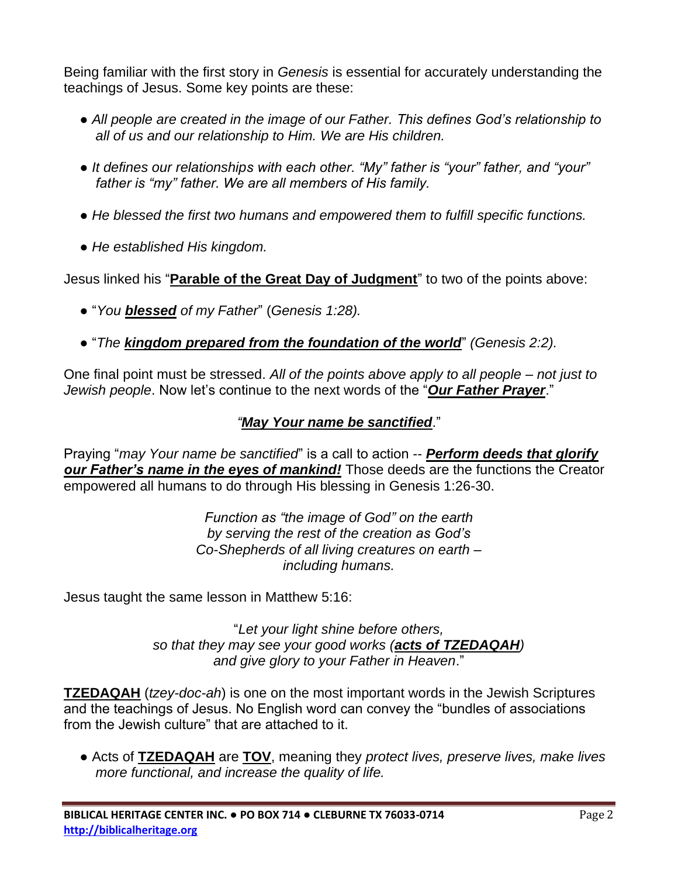Being familiar with the first story in *Genesis* is essential for accurately understanding the teachings of Jesus. Some key points are these:

- *All people are created in the image of our Father. This defines God's relationship to all of us and our relationship to Him. We are His children.*
- *It defines our relationships with each other. "My" father is "your" father, and "your" father is "my" father. We are all members of His family.*
- *He blessed the first two humans and empowered them to fulfill specific functions.*
- *He established His kingdom.*

Jesus linked his "**Parable of the Great Day of Judgment**" to two of the points above:

- "*You blessed of my Father*" (*Genesis 1:28).*
- "*The kingdom prepared from the foundation of the world*" *(Genesis 2:2).*

One final point must be stressed. *All of the points above apply to all people – not just to Jewish people*. Now let's continue to the next words of the "*Our Father Prayer*."

#### *"May Your name be sanctified*."

Praying "*may Your name be sanctified*" is a call to action -- *Perform deeds that glorify our Father's name in the eyes of mankind!* Those deeds are the functions the Creator empowered all humans to do through His blessing in Genesis 1:26-30.

> *Function as "the image of God" on the earth by serving the rest of the creation as God's Co-Shepherds of all living creatures on earth – including humans.*

Jesus taught the same lesson in Matthew 5:16:

"*Let your light shine before others, so that they may see your good works (acts of TZEDAQAH) and give glory to your Father in Heaven*."

**TZEDAQAH** (*tzey-doc-ah*) is one on the most important words in the Jewish Scriptures and the teachings of Jesus. No English word can convey the "bundles of associations from the Jewish culture" that are attached to it.

● Acts of **TZEDAQAH** are **TOV**, meaning they *protect lives, preserve lives, make lives more functional, and increase the quality of life.*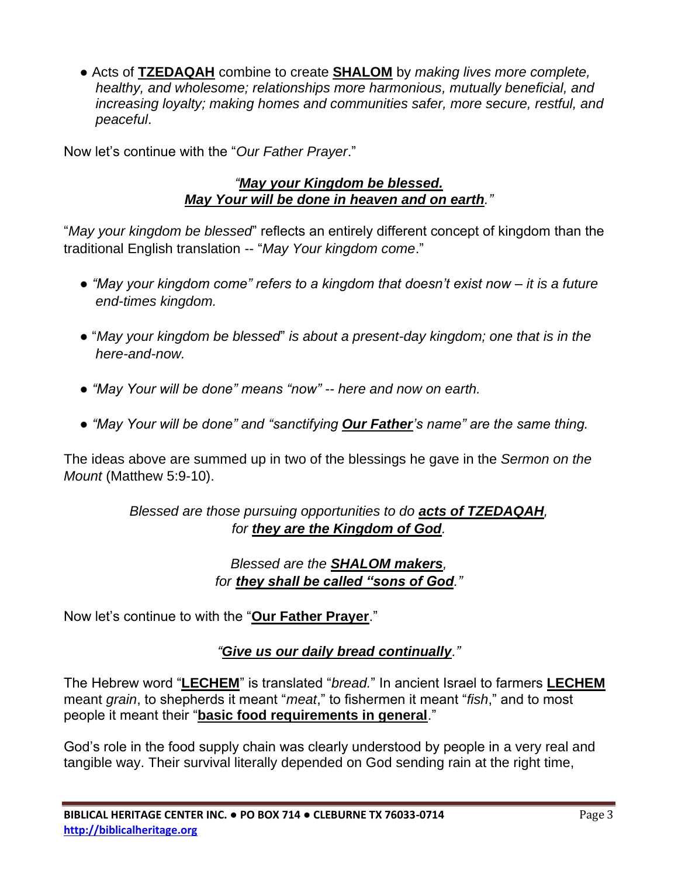● Acts of **TZEDAQAH** combine to create **SHALOM** by *making lives more complete, healthy, and wholesome; relationships more harmonious, mutually beneficial, and increasing loyalty; making homes and communities safer, more secure, restful, and peaceful*.

Now let's continue with the "*Our Father Prayer*."

#### *"May your Kingdom be blessed. May Your will be done in heaven and on earth."*

"*May your kingdom be blessed*" reflects an entirely different concept of kingdom than the traditional English translation -- "*May Your kingdom come*."

- *"May your kingdom come" refers to a kingdom that doesn't exist now – it is a future end-times kingdom.*
- "*May your kingdom be blessed*" *is about a present-day kingdom; one that is in the here-and-now.*
- *"May Your will be done" means "now" -- here and now on earth.*
- *"May Your will be done" and "sanctifying Our Father's name" are the same thing.*

The ideas above are summed up in two of the blessings he gave in the *Sermon on the Mount* (Matthew 5:9-10).

#### *Blessed are those pursuing opportunities to do acts of TZEDAQAH, for they are the Kingdom of God.*

#### *Blessed are the SHALOM makers, for they shall be called "sons of God."*

Now let's continue to with the "**Our Father Prayer**."

#### *"Give us our daily bread continually."*

The Hebrew word "**LECHEM**" is translated "*bread.*" In ancient Israel to farmers **LECHEM** meant *grain*, to shepherds it meant "*meat*," to fishermen it meant "*fish*," and to most people it meant their "**basic food requirements in general**."

God's role in the food supply chain was clearly understood by people in a very real and tangible way. Their survival literally depended on God sending rain at the right time,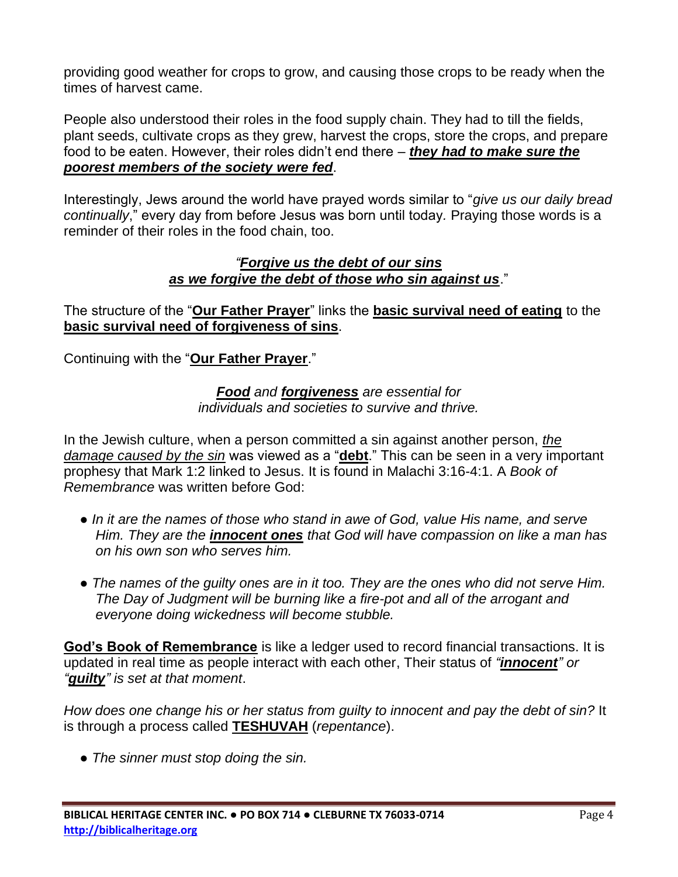providing good weather for crops to grow, and causing those crops to be ready when the times of harvest came.

People also understood their roles in the food supply chain. They had to till the fields, plant seeds, cultivate crops as they grew, harvest the crops, store the crops, and prepare food to be eaten. However, their roles didn't end there – *they had to make sure the poorest members of the society were fed*.

Interestingly, Jews around the world have prayed words similar to "*give us our daily bread continually*," every day from before Jesus was born until today*.* Praying those words is a reminder of their roles in the food chain, too.

#### *"Forgive us the debt of our sins as we forgive the debt of those who sin against us*."

The structure of the "**Our Father Prayer**" links the **basic survival need of eating** to the **basic survival need of forgiveness of sins**.

Continuing with the "**Our Father Prayer**."

*Food and forgiveness are essential for individuals and societies to survive and thrive.*

In the Jewish culture, when a person committed a sin against another person, *the damage caused by the sin* was viewed as a "**debt**." This can be seen in a very important prophesy that Mark 1:2 linked to Jesus. It is found in Malachi 3:16-4:1. A *Book of Remembrance* was written before God:

- *In it are the names of those who stand in awe of God, value His name, and serve Him. They are the innocent ones that God will have compassion on like a man has on his own son who serves him.*
- *The names of the guilty ones are in it too. They are the ones who did not serve Him. The Day of Judgment will be burning like a fire-pot and all of the arrogant and everyone doing wickedness will become stubble.*

**God's Book of Remembrance** is like a ledger used to record financial transactions. It is updated in real time as people interact with each other, Their status of *"innocent" or "guilty" is set at that moment*.

*How does one change his or her status from guilty to innocent and pay the debt of sin?* It is through a process called **TESHUVAH** (*repentance*).

*● The sinner must stop doing the sin.*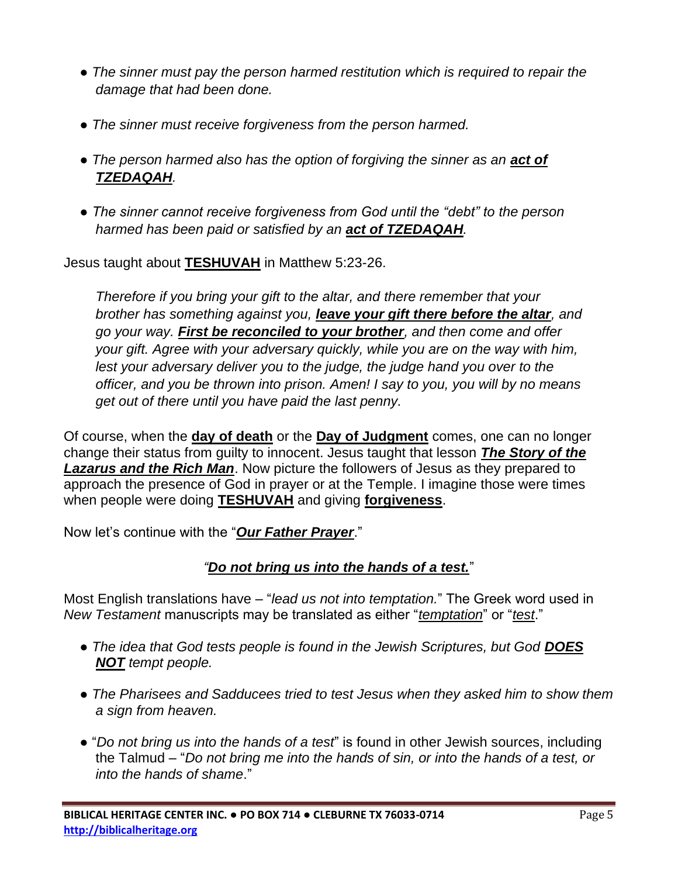- *The sinner must pay the person harmed restitution which is required to repair the damage that had been done.*
- *The sinner must receive forgiveness from the person harmed.*
- The person harmed also has the option of forgiving the sinner as an **act of** *TZEDAQAH.*
- *The sinner cannot receive forgiveness from God until the "debt" to the person harmed has been paid or satisfied by an act of TZEDAQAH.*

Jesus taught about **TESHUVAH** in Matthew 5:23-26.

*Therefore if you bring your gift to the altar, and there remember that your brother has something against you, leave your gift there before the altar, and go your way. First be reconciled to your brother, and then come and offer your gift. Agree with your adversary quickly, while you are on the way with him, lest your adversary deliver you to the judge, the judge hand you over to the officer, and you be thrown into prison. Amen! I say to you, you will by no means get out of there until you have paid the last penny.*

Of course, when the **day of death** or the **Day of Judgment** comes, one can no longer change their status from guilty to innocent. Jesus taught that lesson *The Story of the Lazarus and the Rich Man*. Now picture the followers of Jesus as they prepared to approach the presence of God in prayer or at the Temple. I imagine those were times when people were doing **TESHUVAH** and giving **forgiveness**.

Now let's continue with the "*Our Father Prayer*."

#### *"Do not bring us into the hands of a test.*"

Most English translations have – "*lead us not into temptation.*" The Greek word used in *New Testament* manuscripts may be translated as either "*temptation*" or "*test*."

- *The idea that God tests people is found in the Jewish Scriptures, but God DOES NOT tempt people.*
- *The Pharisees and Sadducees tried to test Jesus when they asked him to show them a sign from heaven.*
- "*Do not bring us into the hands of a test*" is found in other Jewish sources, including the Talmud – "*Do not bring me into the hands of sin, or into the hands of a test, or into the hands of shame*."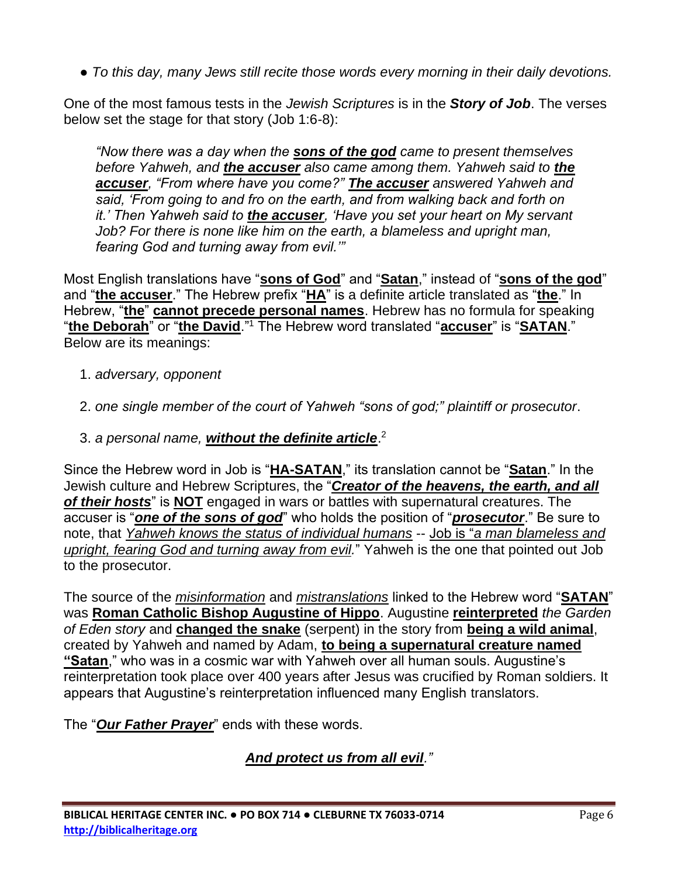● *To this day, many Jews still recite those words every morning in their daily devotions.*

One of the most famous tests in the *Jewish Scriptures* is in the *Story of Job*. The verses below set the stage for that story (Job 1:6-8):

*"Now there was a day when the sons of the god came to present themselves before Yahweh, and the accuser also came among them. Yahweh said to the accuser, "From where have you come?" The accuser answered Yahweh and said, 'From going to and fro on the earth, and from walking back and forth on it.' Then Yahweh said to the accuser, 'Have you set your heart on My servant Job? For there is none like him on the earth, a blameless and upright man, fearing God and turning away from evil.'"*

Most English translations have "**sons of God**" and "**Satan**," instead of "**sons of the god**" and "**the accuser**." The Hebrew prefix "**HA**" is a definite article translated as "**the**." In Hebrew, "**the**" **cannot precede personal names**. Hebrew has no formula for speaking "**the Deborah**" or "**the David**."<sup>1</sup> The Hebrew word translated "**accuser**" is "**SATAN**." Below are its meanings:

- 1. *adversary, opponent*
- 2. *one single member of the court of Yahweh "sons of god;" plaintiff or prosecutor*.
- 3. *a personal name, without the definite article*. 2

Since the Hebrew word in Job is "**HA-SATAN**," its translation cannot be "**Satan**." In the Jewish culture and Hebrew Scriptures, the "*Creator of the heavens, the earth, and all of their hosts*" is **NOT** engaged in wars or battles with supernatural creatures. The accuser is "*one of the sons of god*" who holds the position of "*prosecutor*." Be sure to note, that *Yahweh knows the status of individual humans* -- Job is "*a man blameless and upright, fearing God and turning away from evil.*" Yahweh is the one that pointed out Job to the prosecutor.

The source of the *misinformation* and *mistranslations* linked to the Hebrew word "**SATAN**" was **Roman Catholic Bishop Augustine of Hippo**. Augustine **reinterpreted** *the Garden of Eden story* and **changed the snake** (serpent) in the story from **being a wild animal**, created by Yahweh and named by Adam, **to being a supernatural creature named "Satan**," who was in a cosmic war with Yahweh over all human souls. Augustine's reinterpretation took place over 400 years after Jesus was crucified by Roman soldiers. It appears that Augustine's reinterpretation influenced many English translators.

The "*Our Father Prayer*" ends with these words.

*And protect us from all evil."*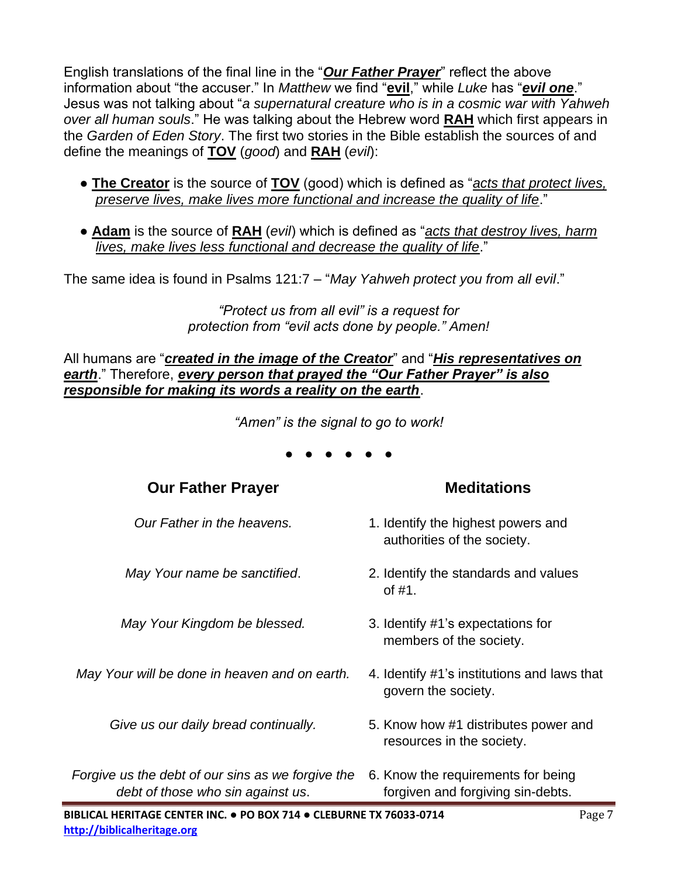English translations of the final line in the "*Our Father Prayer*" reflect the above information about "the accuser." In *Matthew* we find "**evil**," while *Luke* has "*evil one*." Jesus was not talking about "*a supernatural creature who is in a cosmic war with Yahweh over all human souls*." He was talking about the Hebrew word **RAH** which first appears in the *Garden of Eden Story*. The first two stories in the Bible establish the sources of and define the meanings of **TOV** (*good*) and **RAH** (*evil*):

- **The Creator** is the source of **TOV** (good) which is defined as "*acts that protect lives, preserve lives, make lives more functional and increase the quality of life*."
- **Adam** is the source of **RAH** (*evil*) which is defined as "*acts that destroy lives, harm lives, make lives less functional and decrease the quality of life*."

The same idea is found in Psalms 121:7 – "*May Yahweh protect you from all evil*."

*"Protect us from all evil" is a request for protection from "evil acts done by people." Amen!*

All humans are "*created in the image of the Creator*" and "*His representatives on earth*." Therefore, *every person that prayed the "Our Father Prayer" is also responsible for making its words a reality on the earth*.

*"Amen" is the signal to go to work!*

● ● ● ● ● ●

**Our Father Prayer Meditations**

| <b>UUI LAUIGI LIAYGI</b>                                                               | MGURUNIN                                                                |
|----------------------------------------------------------------------------------------|-------------------------------------------------------------------------|
| Our Father in the heavens.                                                             | 1. Identify the highest powers and<br>authorities of the society.       |
| May Your name be sanctified.                                                           | 2. Identify the standards and values<br>of $#1$ .                       |
| May Your Kingdom be blessed.                                                           | 3. Identify #1's expectations for<br>members of the society.            |
| May Your will be done in heaven and on earth.                                          | 4. Identify #1's institutions and laws that<br>govern the society.      |
| Give us our daily bread continually.                                                   | 5. Know how #1 distributes power and<br>resources in the society.       |
| Forgive us the debt of our sins as we forgive the<br>debt of those who sin against us. | 6. Know the requirements for being<br>forgiven and forgiving sin-debts. |